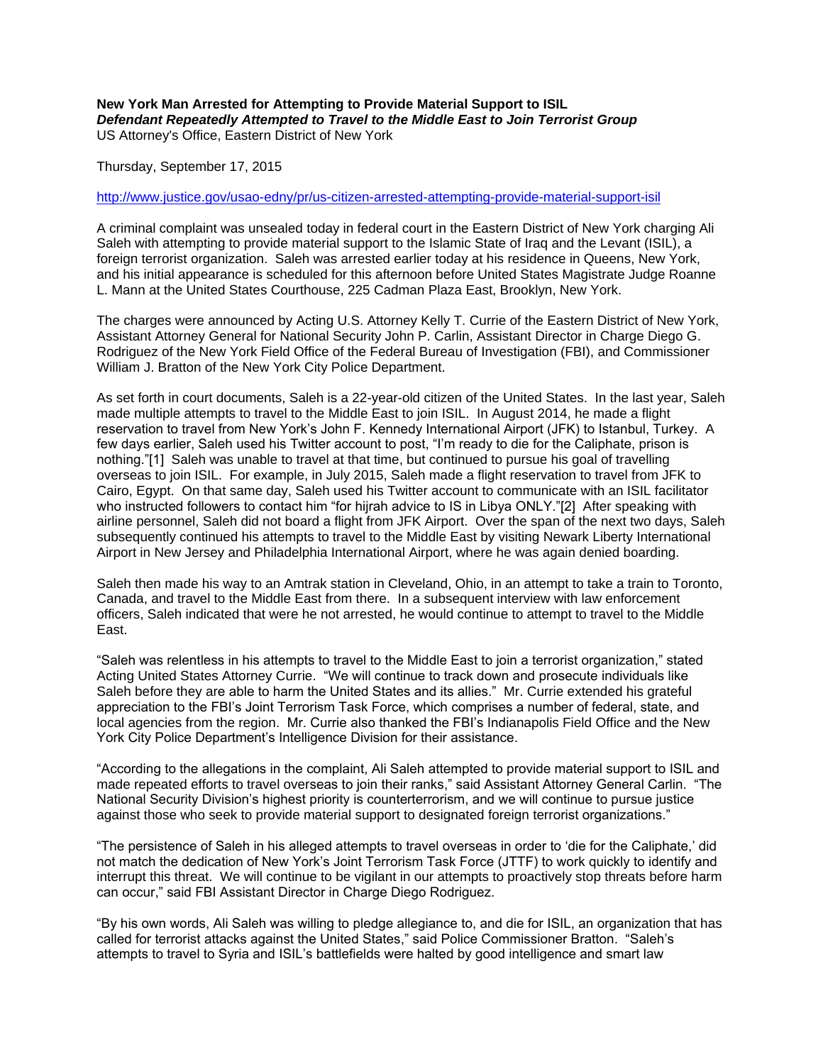## **New York Man Arrested for Attempting to Provide Material Support to ISIL** *Defendant Repeatedly Attempted to Travel to the Middle East to Join Terrorist Group* US Attorney's Office, Eastern District of New York

Thursday, September 17, 2015

## <http://www.justice.gov/usao-edny/pr/us-citizen-arrested-attempting-provide-material-support-isil>

A criminal complaint was unsealed today in federal court in the Eastern District of New York charging Ali Saleh with attempting to provide material support to the Islamic State of Iraq and the Levant (ISIL), a foreign terrorist organization. Saleh was arrested earlier today at his residence in Queens, New York, and his initial appearance is scheduled for this afternoon before United States Magistrate Judge Roanne L. Mann at the United States Courthouse, 225 Cadman Plaza East, Brooklyn, New York.

The charges were announced by Acting U.S. Attorney Kelly T. Currie of the Eastern District of New York, Assistant Attorney General for National Security John P. Carlin, Assistant Director in Charge Diego G. Rodriguez of the New York Field Office of the Federal Bureau of Investigation (FBI), and Commissioner William J. Bratton of the New York City Police Department.

As set forth in court documents, Saleh is a 22-year-old citizen of the United States. In the last year, Saleh made multiple attempts to travel to the Middle East to join ISIL. In August 2014, he made a flight reservation to travel from New York's John F. Kennedy International Airport (JFK) to Istanbul, Turkey. A few days earlier, Saleh used his Twitter account to post, "I'm ready to die for the Caliphate, prison is nothing."[1] Saleh was unable to travel at that time, but continued to pursue his goal of travelling overseas to join ISIL. For example, in July 2015, Saleh made a flight reservation to travel from JFK to Cairo, Egypt. On that same day, Saleh used his Twitter account to communicate with an ISIL facilitator who instructed followers to contact him "for hijrah advice to IS in Libya ONLY."[2] After speaking with airline personnel, Saleh did not board a flight from JFK Airport. Over the span of the next two days, Saleh subsequently continued his attempts to travel to the Middle East by visiting Newark Liberty International Airport in New Jersey and Philadelphia International Airport, where he was again denied boarding.

Saleh then made his way to an Amtrak station in Cleveland, Ohio, in an attempt to take a train to Toronto, Canada, and travel to the Middle East from there. In a subsequent interview with law enforcement officers, Saleh indicated that were he not arrested, he would continue to attempt to travel to the Middle East.

"Saleh was relentless in his attempts to travel to the Middle East to join a terrorist organization," stated Acting United States Attorney Currie. "We will continue to track down and prosecute individuals like Saleh before they are able to harm the United States and its allies." Mr. Currie extended his grateful appreciation to the FBI's Joint Terrorism Task Force, which comprises a number of federal, state, and local agencies from the region. Mr. Currie also thanked the FBI's Indianapolis Field Office and the New York City Police Department's Intelligence Division for their assistance.

"According to the allegations in the complaint, Ali Saleh attempted to provide material support to ISIL and made repeated efforts to travel overseas to join their ranks," said Assistant Attorney General Carlin. "The National Security Division's highest priority is counterterrorism, and we will continue to pursue justice against those who seek to provide material support to designated foreign terrorist organizations."

"The persistence of Saleh in his alleged attempts to travel overseas in order to 'die for the Caliphate,' did not match the dedication of New York's Joint Terrorism Task Force (JTTF) to work quickly to identify and interrupt this threat. We will continue to be vigilant in our attempts to proactively stop threats before harm can occur," said FBI Assistant Director in Charge Diego Rodriguez.

"By his own words, Ali Saleh was willing to pledge allegiance to, and die for ISIL, an organization that has called for terrorist attacks against the United States," said Police Commissioner Bratton. "Saleh's attempts to travel to Syria and ISIL's battlefields were halted by good intelligence and smart law